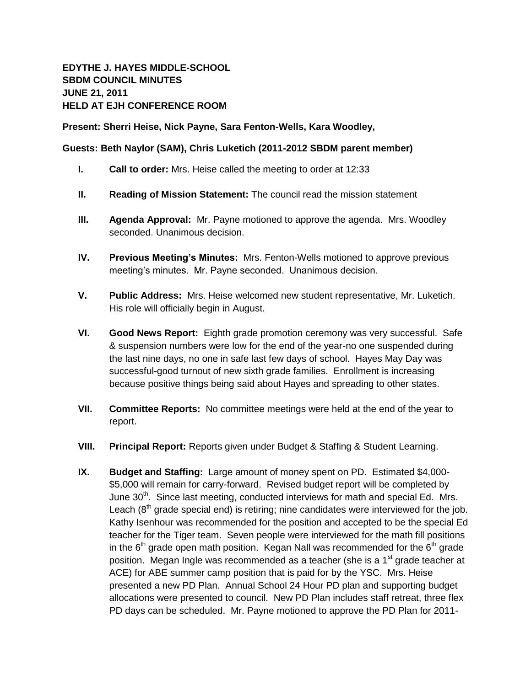## **EDYTHE J. HAYES MIDDLE-SCHOOL SBDM COUNCIL MINUTES JUNE 21, 2011 HELD AT EJH CONFERENCE ROOM**

**Present: Sherri Heise, Nick Payne, Sara Fenton-Wells, Kara Woodley,** 

## **Guests: Beth Naylor (SAM), Chris Luketich (2011-2012 SBDM parent member)**

- **I. Call to order:** Mrs. Heise called the meeting to order at 12:33
- **II. Reading of Mission Statement:** The council read the mission statement
- **III. Agenda Approval:** Mr. Payne motioned to approve the agenda. Mrs. Woodley seconded. Unanimous decision.
- **IV. Previous Meeting's Minutes:** Mrs. Fenton-Wells motioned to approve previous meeting's minutes. Mr. Payne seconded. Unanimous decision.
- **V. Public Address:** Mrs. Heise welcomed new student representative, Mr. Luketich. His role will officially begin in August.
- **VI. Good News Report:** Eighth grade promotion ceremony was very successful. Safe & suspension numbers were low for the end of the year-no one suspended during the last nine days, no one in safe last few days of school. Hayes May Day was successful-good turnout of new sixth grade families. Enrollment is increasing because positive things being said about Hayes and spreading to other states.
- **VII. Committee Reports:** No committee meetings were held at the end of the year to report.
- **VIII. Principal Report:** Reports given under Budget & Staffing & Student Learning.
- **IX. Budget and Staffing:** Large amount of money spent on PD. Estimated \$4,000- \$5,000 will remain for carry-forward. Revised budget report will be completed by June  $30<sup>th</sup>$ . Since last meeting, conducted interviews for math and special Ed. Mrs. Leach  $(8<sup>th</sup>)$  grade special end) is retiring; nine candidates were interviewed for the job. Kathy Isenhour was recommended for the position and accepted to be the special Ed teacher for the Tiger team. Seven people were interviewed for the math fill positions in the  $6<sup>th</sup>$  grade open math position. Kegan Nall was recommended for the  $6<sup>th</sup>$  grade position. Megan Ingle was recommended as a teacher (she is a 1<sup>st</sup> grade teacher at ACE) for ABE summer camp position that is paid for by the YSC. Mrs. Heise presented a new PD Plan. Annual School 24 Hour PD plan and supporting budget allocations were presented to council. New PD Plan includes staff retreat, three flex PD days can be scheduled. Mr. Payne motioned to approve the PD Plan for 2011-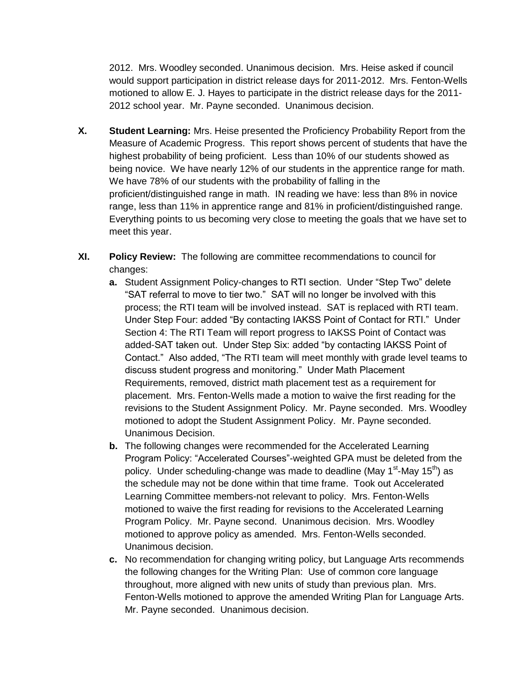2012. Mrs. Woodley seconded. Unanimous decision. Mrs. Heise asked if council would support participation in district release days for 2011-2012. Mrs. Fenton-Wells motioned to allow E. J. Hayes to participate in the district release days for the 2011- 2012 school year. Mr. Payne seconded. Unanimous decision.

- **X. Student Learning:** Mrs. Heise presented the Proficiency Probability Report from the Measure of Academic Progress. This report shows percent of students that have the highest probability of being proficient. Less than 10% of our students showed as being novice. We have nearly 12% of our students in the apprentice range for math. We have 78% of our students with the probability of falling in the proficient/distinguished range in math. IN reading we have: less than 8% in novice range, less than 11% in apprentice range and 81% in proficient/distinguished range. Everything points to us becoming very close to meeting the goals that we have set to meet this year.
- **XI. Policy Review:** The following are committee recommendations to council for changes:
	- **a.** Student Assignment Policy-changes to RTI section. Under "Step Two" delete "SAT referral to move to tier two." SAT will no longer be involved with this process; the RTI team will be involved instead. SAT is replaced with RTI team. Under Step Four: added "By contacting IAKSS Point of Contact for RTI." Under Section 4: The RTI Team will report progress to IAKSS Point of Contact was added-SAT taken out. Under Step Six: added "by contacting IAKSS Point of Contact." Also added, "The RTI team will meet monthly with grade level teams to discuss student progress and monitoring." Under Math Placement Requirements, removed, district math placement test as a requirement for placement. Mrs. Fenton-Wells made a motion to waive the first reading for the revisions to the Student Assignment Policy. Mr. Payne seconded. Mrs. Woodley motioned to adopt the Student Assignment Policy. Mr. Payne seconded. Unanimous Decision.
	- **b.** The following changes were recommended for the Accelerated Learning Program Policy: "Accelerated Courses"-weighted GPA must be deleted from the policy. Under scheduling-change was made to deadline (May 1<sup>st</sup>-May 15<sup>th</sup>) as the schedule may not be done within that time frame. Took out Accelerated Learning Committee members-not relevant to policy. Mrs. Fenton-Wells motioned to waive the first reading for revisions to the Accelerated Learning Program Policy. Mr. Payne second. Unanimous decision. Mrs. Woodley motioned to approve policy as amended. Mrs. Fenton-Wells seconded. Unanimous decision.
	- **c.** No recommendation for changing writing policy, but Language Arts recommends the following changes for the Writing Plan: Use of common core language throughout, more aligned with new units of study than previous plan. Mrs. Fenton-Wells motioned to approve the amended Writing Plan for Language Arts. Mr. Payne seconded. Unanimous decision.